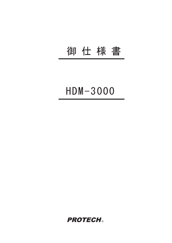## 御 仕 様 書

# $HDM - 3000$

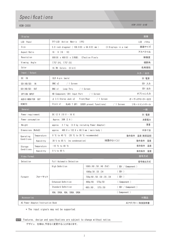### Specifications

#### HDM-3000 HDM-3000 仕様

| 画像<br>Display                                      |                          |                                                         |                                    |                       |             |         |
|----------------------------------------------------|--------------------------|---------------------------------------------------------|------------------------------------|-----------------------|-------------|---------|
| LCD Panel                                          |                          | TFT-LCD Active Matrix (IPS)                             |                                    |                       | LCD パネル     |         |
| Size                                               |                          | 5.0 inch diagonal (108.0(H) x 64.8(V) mm)               |                                    | (3 Displays in a row) | 画面サイズ       |         |
| Aspect Ratio                                       |                          | 16:9(16:10)                                             |                                    | アスペクト比                |             |         |
| Resolution                                         |                          | 800 (H) x 480 (V) x 3 (RGB). E?ective Pixels            |                                    |                       | 解像度         |         |
| Viewing Angle                                      |                          | 170 $^{\circ}$ (H), 170 $^{\circ}$ (V)                  |                                    |                       | 視野角         |         |
| Color                                              |                          | 16.7M Colors (8 bit)                                    |                                    | 色再現性                  |             |         |
| Input / Output                                     |                          |                                                         |                                    |                       |             | 入力 / 出力 |
| DC IN                                              |                          | XLR 4-pin (male)                                        |                                    |                       | DC 電源       |         |
| SDI(HD/SD)<br>1 N                                  |                          | BNC x2<br>/ 1 Screen                                    |                                    |                       | SDI 入力      |         |
| $SDI$ (HD/SD)<br>0UT                               |                          | BNC x1<br>Loop Thru<br>/ 1 Screen                       |                                    |                       | SDI 出力      |         |
| OPTION INPUT                                       |                          | HD Component/ DVI Input Port / 1 Screen                 |                                    |                       | オプション入力     |         |
| AUDIO MONITOR OUT                                  |                          | $\phi$ 3.5 Stereo Jack x2<br>Front/Rear<br>$/ 1$ Screen |                                    |                       | オーディオモニター出力 |         |
| REMOTE                                             |                          | 8-pin x1                                                | RJ45 7 GPI (USER preset functions) | $/ 1$ Screen          | リモートコントロール  |         |
| General<br>一般                                      |                          |                                                         |                                    |                       |             |         |
| Power requirement                                  |                          | DC 12 V (10 V - 16 V)                                   |                                    |                       | DC 電源       |         |
| Power consumption                                  |                          | Approx. $36W$ $(3 A)$                                   |                                    |                       |             | 消費電力    |
| Weight                                             |                          | approx. 2.7 kg (3.0 kg including Power Adaptor)         |                                    |                       |             | 重量      |
| Dimensions (WxHxD)                                 |                          | approx. 480.8 x 132.6 x 60.5 mm (main body)             |                                    |                       |             | 外形寸法    |
| Operating<br>Conditions                            | Temperature              | 0 °C to 40 °C $(20 \text{ °C})$ to 30 °C recommended)   |                                    | 動作条件                  | 温度(推奨温度)    |         |
|                                                    | Humiditty                | 30 % to 85 % (no condensation)                          | (結露のないこと)                          |                       | 動作条件        | 湿度      |
| Storage<br>Conditions                              | Temperature              | $-10$ °C to 40 °C                                       |                                    |                       | 保存条件 温度     |         |
|                                                    | Humiditty                | 0 % to 90 %                                             |                                    |                       | 保存条件 湿度     |         |
| Video Format                                       |                          |                                                         |                                    |                       | 信号方式        |         |
| Detection                                          | Full Automatic Detection |                                                         |                                    | 信号検出方式                |             |         |
|                                                    | フォーマット                   | High Definition                                         | $1080i/60 /50 /48$ (PsF)           | (SDI / Component)     |             |         |
| Format*                                            |                          |                                                         | 1080p/30 /25 /24                   | (SDI)                 |             |         |
|                                                    |                          |                                                         | 720p/60 /50 /30 /25 /24            | (SDI)                 |             |         |
|                                                    |                          | Enhanced Definition                                     | $480p/60$ , $575p/50$              | ( Component )         |             |         |
|                                                    |                          | Standard Definition                                     | $480i/60$ .<br>575i/50             | (SDI / Component)     |             |         |
|                                                    |                          | VGA, SVGA, XGA, SXGA, UXGA                              |                                    | (Component)           |             |         |
| 付属品<br>Accessories                                 |                          |                                                         |                                    |                       |             |         |
| AC Power Adaptor/Instruction Book<br>ACアダプター/取扱説明書 |                          |                                                         |                                    |                       |             |         |

\* The input signals may not be supported.

NOTE Features, design and specifications are subject to change without notice.

デザイン, 仕様は、予告なく変更することがあります。